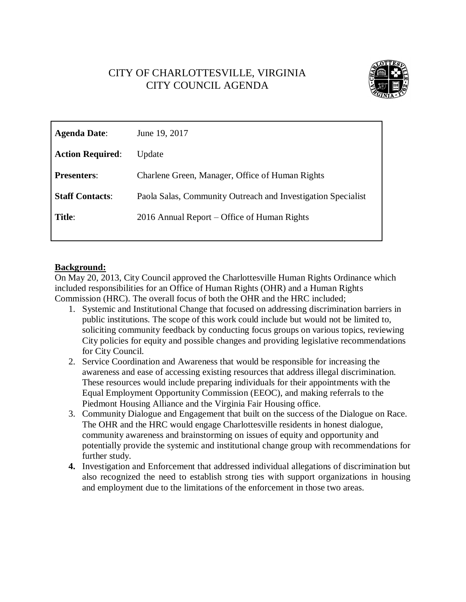# CITY OF CHARLOTTESVILLE, VIRGINIA CITY COUNCIL AGENDA



| <b>Agenda Date:</b>     | June 19, 2017                                                |
|-------------------------|--------------------------------------------------------------|
| <b>Action Required:</b> | Update                                                       |
| <b>Presenters:</b>      | Charlene Green, Manager, Office of Human Rights              |
| <b>Staff Contacts:</b>  | Paola Salas, Community Outreach and Investigation Specialist |
| Title:                  | 2016 Annual Report – Office of Human Rights                  |
|                         |                                                              |

# **Background:**

On May 20, 2013, City Council approved the Charlottesville Human Rights Ordinance which included responsibilities for an Office of Human Rights (OHR) and a Human Rights Commission (HRC). The overall focus of both the OHR and the HRC included;

- 1. Systemic and Institutional Change that focused on addressing discrimination barriers in public institutions. The scope of this work could include but would not be limited to, soliciting community feedback by conducting focus groups on various topics, reviewing City policies for equity and possible changes and providing legislative recommendations for City Council.
- 2. Service Coordination and Awareness that would be responsible for increasing the awareness and ease of accessing existing resources that address illegal discrimination. These resources would include preparing individuals for their appointments with the Equal Employment Opportunity Commission (EEOC), and making referrals to the Piedmont Housing Alliance and the Virginia Fair Housing office.
- 3. Community Dialogue and Engagement that built on the success of the Dialogue on Race. The OHR and the HRC would engage Charlottesville residents in honest dialogue, community awareness and brainstorming on issues of equity and opportunity and potentially provide the systemic and institutional change group with recommendations for further study.
- **4.** Investigation and Enforcement that addressed individual allegations of discrimination but also recognized the need to establish strong ties with support organizations in housing and employment due to the limitations of the enforcement in those two areas.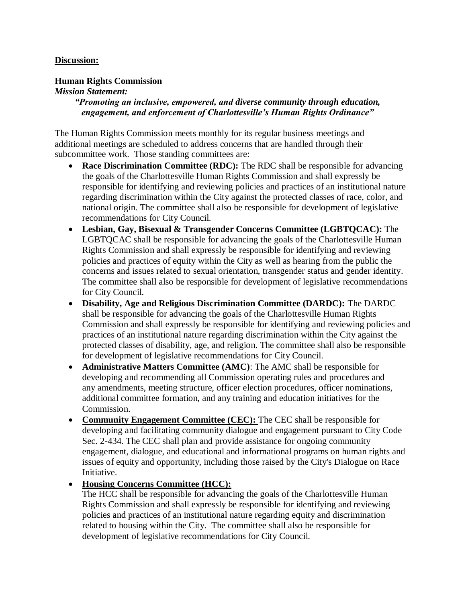#### **Discussion:**

#### **Human Rights Commission**

#### *Mission Statement:*

*"Promoting an inclusive, empowered, and diverse community through education, engagement, and enforcement of Charlottesville's Human Rights Ordinance"*

The Human Rights Commission meets monthly for its regular business meetings and additional meetings are scheduled to address concerns that are handled through their subcommittee work. Those standing committees are:

- **Race Discrimination Committee (RDC):** The RDC shall be responsible for advancing the goals of the Charlottesville Human Rights Commission and shall expressly be responsible for identifying and reviewing policies and practices of an institutional nature regarding discrimination within the City against the protected classes of race, color, and national origin. The committee shall also be responsible for development of legislative recommendations for City Council.
- **Lesbian, Gay, Bisexual & Transgender Concerns Committee (LGBTQCAC):** The LGBTQCAC shall be responsible for advancing the goals of the Charlottesville Human Rights Commission and shall expressly be responsible for identifying and reviewing policies and practices of equity within the City as well as hearing from the public the concerns and issues related to sexual orientation, transgender status and gender identity. The committee shall also be responsible for development of legislative recommendations for City Council.
- **Disability, Age and Religious Discrimination Committee (DARDC):** The DARDC shall be responsible for advancing the goals of the Charlottesville Human Rights Commission and shall expressly be responsible for identifying and reviewing policies and practices of an institutional nature regarding discrimination within the City against the protected classes of disability, age, and religion. The committee shall also be responsible for development of legislative recommendations for City Council.
- **Administrative Matters Committee (AMC)**: The AMC shall be responsible for developing and recommending all Commission operating rules and procedures and any amendments, meeting structure, officer election procedures, officer nominations, additional committee formation, and any training and education initiatives for the Commission.
- Community Engagement Committee (CEC): The CEC shall be responsible for developing and facilitating community dialogue and engagement pursuant to City Code Sec. 2-434. The CEC shall plan and provide assistance for ongoing community engagement, dialogue, and educational and informational programs on human rights and issues of equity and opportunity, including those raised by the City's Dialogue on Race Initiative.

# **Housing Concerns Committee (HCC):**

The HCC shall be responsible for advancing the goals of the Charlottesville Human Rights Commission and shall expressly be responsible for identifying and reviewing policies and practices of an institutional nature regarding equity and discrimination related to housing within the City. The committee shall also be responsible for development of legislative recommendations for City Council.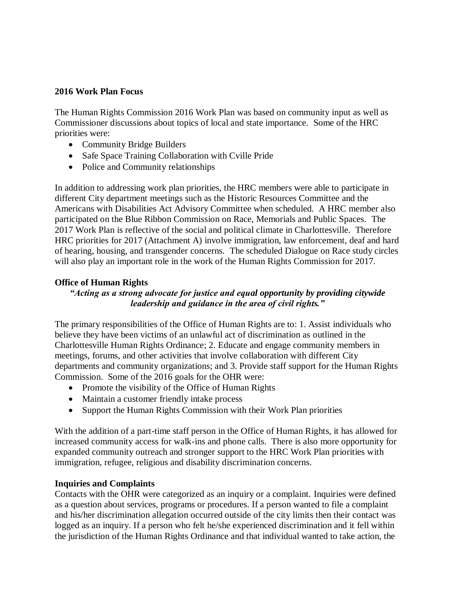#### **2016 Work Plan Focus**

The Human Rights Commission 2016 Work Plan was based on community input as well as Commissioner discussions about topics of local and state importance. Some of the HRC priorities were:

- Community Bridge Builders
- Safe Space Training Collaboration with Cville Pride
- Police and Community relationships

In addition to addressing work plan priorities, the HRC members were able to participate in different City department meetings such as the Historic Resources Committee and the Americans with Disabilities Act Advisory Committee when scheduled. A HRC member also participated on the Blue Ribbon Commission on Race, Memorials and Public Spaces. The 2017 Work Plan is reflective of the social and political climate in Charlottesville. Therefore HRC priorities for 2017 (Attachment A) involve immigration, law enforcement, deaf and hard of hearing, housing, and transgender concerns. The scheduled Dialogue on Race study circles will also play an important role in the work of the Human Rights Commission for 2017.

# **Office of Human Rights**

# *"Acting as a strong advocate for justice and equal opportunity by providing citywide leadership and guidance in the area of civil rights."*

The primary responsibilities of the Office of Human Rights are to: 1. Assist individuals who believe they have been victims of an unlawful act of discrimination as outlined in the Charlottesville Human Rights Ordinance; 2. Educate and engage community members in meetings, forums, and other activities that involve collaboration with different City departments and community organizations; and 3. Provide staff support for the Human Rights Commission. Some of the 2016 goals for the OHR were:

- Promote the visibility of the Office of Human Rights
- Maintain a customer friendly intake process
- Support the Human Rights Commission with their Work Plan priorities

With the addition of a part-time staff person in the Office of Human Rights, it has allowed for increased community access for walk-ins and phone calls. There is also more opportunity for expanded community outreach and stronger support to the HRC Work Plan priorities with immigration, refugee, religious and disability discrimination concerns.

# **Inquiries and Complaints**

Contacts with the OHR were categorized as an inquiry or a complaint. Inquiries were defined as a question about services, programs or procedures. If a person wanted to file a complaint and his/her discrimination allegation occurred outside of the city limits then their contact was logged as an inquiry. If a person who felt he/she experienced discrimination and it fell within the jurisdiction of the Human Rights Ordinance and that individual wanted to take action, the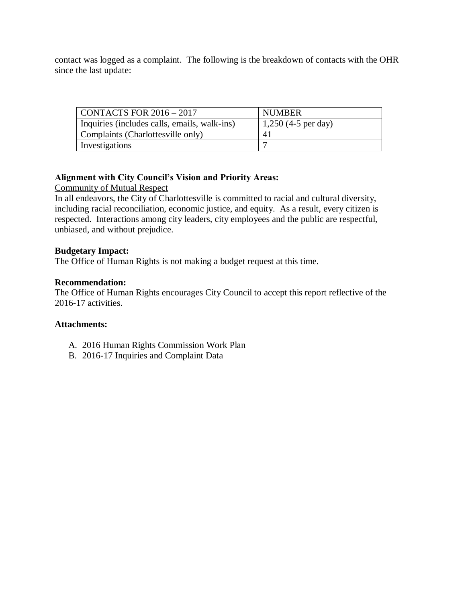contact was logged as a complaint. The following is the breakdown of contacts with the OHR since the last update:

| CONTACTS FOR $2016 - 2017$                   | <b>NUMBER</b>         |  |
|----------------------------------------------|-----------------------|--|
| Inquiries (includes calls, emails, walk-ins) | 1,250 $(4-5$ per day) |  |
| Complaints (Charlottesville only)            | 41                    |  |
| Investigations                               |                       |  |

# **Alignment with City Council's Vision and Priority Areas:**

Community of Mutual Respect

In all endeavors, the City of Charlottesville is committed to racial and cultural diversity, including racial reconciliation, economic justice, and equity. As a result, every citizen is respected. Interactions among city leaders, city employees and the public are respectful, unbiased, and without prejudice.

# **Budgetary Impact:**

The Office of Human Rights is not making a budget request at this time.

#### **Recommendation:**

The Office of Human Rights encourages City Council to accept this report reflective of the 2016-17 activities.

# **Attachments:**

- A. 2016 Human Rights Commission Work Plan
- B. 2016-17 Inquiries and Complaint Data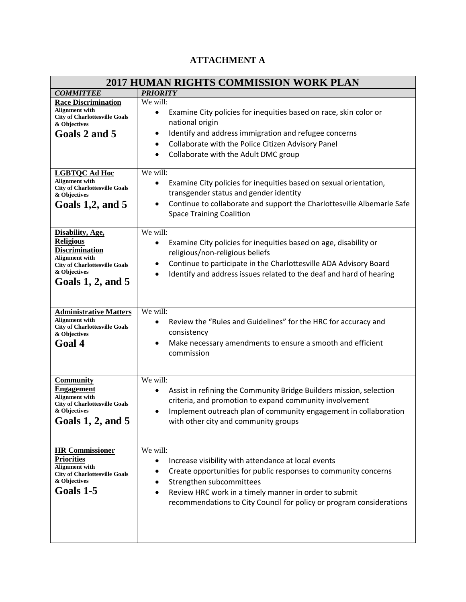# **ATTACHMENT A**

| <b>2017 HUMAN RIGHTS COMMISSION WORK PLAN</b>                                                                                                                            |                                                                                                                                                                                                                                                                                                                           |  |
|--------------------------------------------------------------------------------------------------------------------------------------------------------------------------|---------------------------------------------------------------------------------------------------------------------------------------------------------------------------------------------------------------------------------------------------------------------------------------------------------------------------|--|
| <b>COMMITTEE</b>                                                                                                                                                         | <b>PRIORITY</b>                                                                                                                                                                                                                                                                                                           |  |
| <b>Race Discrimination</b><br><b>Alignment</b> with<br><b>City of Charlottesville Goals</b><br>& Objectives<br>Goals 2 and 5                                             | We will:<br>Examine City policies for inequities based on race, skin color or<br>national origin<br>Identify and address immigration and refugee concerns<br>٠<br>Collaborate with the Police Citizen Advisory Panel<br>$\bullet$<br>Collaborate with the Adult DMC group<br>$\bullet$                                    |  |
| <b>LGBTQC Ad Hoc</b><br><b>Alignment</b> with<br><b>City of Charlottesville Goals</b><br>& Objectives<br>Goals $1,2$ , and $5$                                           | We will:<br>Examine City policies for inequities based on sexual orientation,<br>$\bullet$<br>transgender status and gender identity<br>Continue to collaborate and support the Charlottesville Albemarle Safe<br>$\bullet$<br><b>Space Training Coalition</b>                                                            |  |
| Disability, Age,<br><b>Religious</b><br><b>Discrimination</b><br><b>Alignment</b> with<br><b>City of Charlottesville Goals</b><br>& Objectives<br>Goals $1, 2$ , and $5$ | We will:<br>Examine City policies for inequities based on age, disability or<br>religious/non-religious beliefs<br>Continue to participate in the Charlottesville ADA Advisory Board<br>٠<br>Identify and address issues related to the deaf and hard of hearing<br>$\bullet$                                             |  |
| <b>Administrative Matters</b><br><b>Alignment</b> with<br><b>City of Charlottesville Goals</b><br>& Objectives<br>Goal 4                                                 | We will:<br>Review the "Rules and Guidelines" for the HRC for accuracy and<br>consistency<br>Make necessary amendments to ensure a smooth and efficient<br>$\bullet$<br>commission                                                                                                                                        |  |
| <b>Community</b><br><b>Engagement</b><br><b>Alignment</b> with<br><b>City of Charlottesville Goals</b><br>& Objectives<br>Goals $1, 2$ , and $5$                         | We will:<br>Assist in refining the Community Bridge Builders mission, selection<br>criteria, and promotion to expand community involvement<br>Implement outreach plan of community engagement in collaboration<br>$\bullet$<br>with other city and community groups                                                       |  |
| <b>HR Commissioner</b><br><b>Priorities</b><br><b>Alignment</b> with<br><b>City of Charlottesville Goals</b><br>& Objectives<br>Goals 1-5                                | We will:<br>Increase visibility with attendance at local events<br>$\bullet$<br>Create opportunities for public responses to community concerns<br>Strengthen subcommittees<br>Review HRC work in a timely manner in order to submit<br>$\bullet$<br>recommendations to City Council for policy or program considerations |  |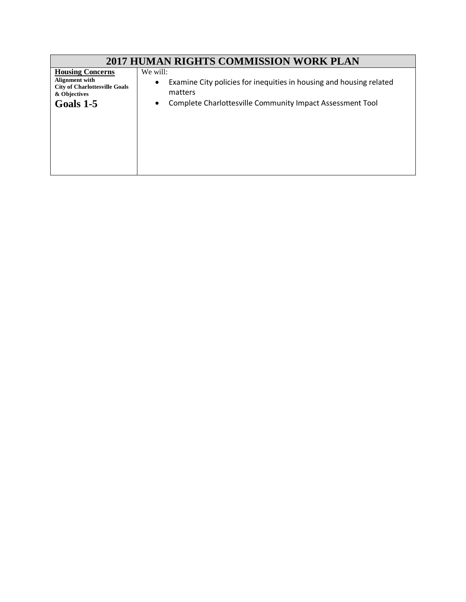| <b>2017 HUMAN RIGHTS COMMISSION WORK PLAN</b>                                                                  |                                                                                                                                                                                   |  |
|----------------------------------------------------------------------------------------------------------------|-----------------------------------------------------------------------------------------------------------------------------------------------------------------------------------|--|
| <b>Housing Concerns</b><br>Alignment with<br><b>City of Charlottesville Goals</b><br>& Objectives<br>Goals 1-5 | We will:<br>Examine City policies for inequities in housing and housing related<br>$\bullet$<br>matters<br>Complete Charlottesville Community Impact Assessment Tool<br>$\bullet$ |  |